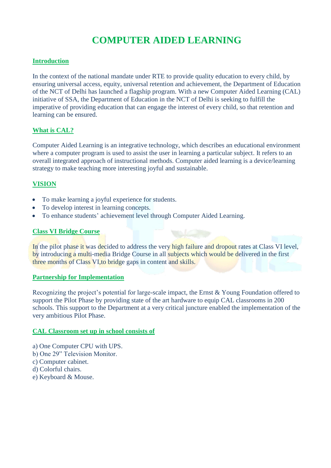# **COMPUTER AIDED LEARNING**

### **Introduction**

In the context of the national mandate under RTE to provide quality education to every child, by ensuring universal access, equity, universal retention and achievement, the Department of Education of the NCT of Delhi has launched a flagship program. With a new Computer Aided Learning (CAL) initiative of SSA, the Department of Education in the NCT of Delhi is seeking to fulfill the imperative of providing education that can engage the interest of every child, so that retention and learning can be ensured.

### **What is CAL?**

Computer Aided Learning is an integrative technology, which describes an educational environment where a computer program is used to assist the user in learning a particular subject. It refers to an overall integrated approach of instructional methods. Computer aided learning is a device/learning strategy to make teaching more interesting joyful and sustainable.

## **VISION**

- To make learning a joyful experience for students.
- To develop interest in learning concepts.
- To enhance students' achievement level through Computer Aided Learning.

### **Class VI Bridge Course**

In the pilot phase it was decided to address the very high failure and dropout rates at Class VI level, by introducing a multi-media Bridge Course in all subjects which would be delivered in the first three months of Class VI,to bridge gaps in content and skills.

### **Partnership for Implementation**

Recognizing the project's potential for large-scale impact, the Ernst & Young Foundation offered to support the Pilot Phase by providing state of the art hardware to equip CAL classrooms in 200 schools. This support to the Department at a very critical juncture enabled the implementation of the very ambitious Pilot Phase.

### **CAL Classroom set up in school consists of**

- a) One Computer CPU with UPS.
- b) One 29" Television Monitor.
- c) Computer cabinet.
- d) Colorful chairs.
- e) Keyboard & Mouse.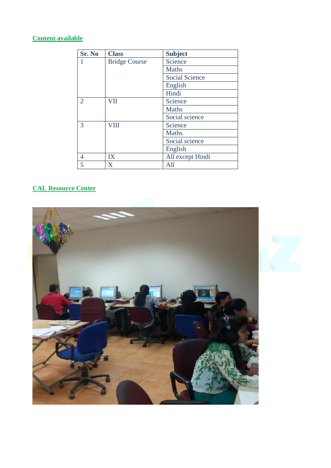# **Content available**

| Sr. No         | <b>Class</b>         | <b>Subject</b>        |  |  |
|----------------|----------------------|-----------------------|--|--|
|                | <b>Bridge Course</b> | Science               |  |  |
|                |                      | <b>Maths</b>          |  |  |
|                |                      | <b>Social Science</b> |  |  |
|                |                      | English               |  |  |
|                |                      | Hindi                 |  |  |
| $\overline{2}$ | <b>VII</b>           | Science               |  |  |
|                |                      | <b>Maths</b>          |  |  |
|                |                      | Social science        |  |  |
| 3              | <b>VIII</b>          | Science               |  |  |
|                |                      | <b>Maths</b>          |  |  |
|                |                      | Social science        |  |  |
|                |                      | English               |  |  |
| 4              | IX                   | All except Hindi      |  |  |
| 5              | X                    | All                   |  |  |

# **CAL Resource Center**

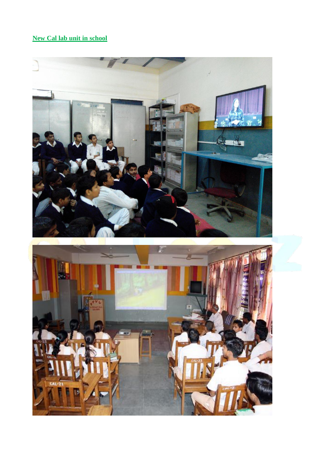# **New Cal lab unit in school**

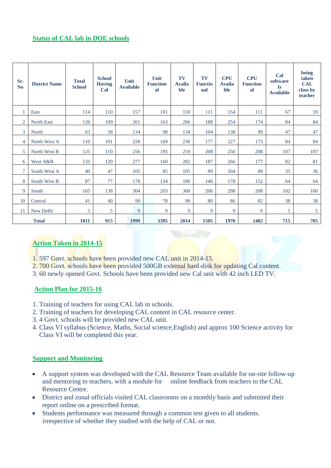## **Status of CAL lab in DOE schools**

| Sr.<br>N <sub>o</sub> | <b>District Name</b> | <b>Total</b><br><b>School</b> | <b>School</b><br><b>Having</b><br>Cal | Unit<br><b>Available</b> | Unit<br><b>Function</b><br>al | TV<br><b>Availa</b><br>ble | TV<br><b>Functio</b><br>nal | <b>CPU</b><br><b>Availa</b><br>ble | <b>CPU</b><br><b>Function</b><br>al | Cal<br>software<br><b>Is</b><br><b>Available</b> | being<br>taken<br><b>CAL</b><br>class by<br>teacher |
|-----------------------|----------------------|-------------------------------|---------------------------------------|--------------------------|-------------------------------|----------------------------|-----------------------------|------------------------------------|-------------------------------------|--------------------------------------------------|-----------------------------------------------------|
|                       | East                 | 114                           | 110                                   | 157                      | 101                           | 159                        | 111                         | 154                                | 111                                 | 67                                               | 59                                                  |
| $\overline{2}$        | North East           | 126                           | 109                                   | 261                      | 163                           | 266                        | 188                         | 254                                | 174                                 | 84                                               | 84                                                  |
| 3 <sup>1</sup>        | North                | 63                            | 58                                    | 134                      | 98                            | 134                        | 104                         | 138                                | 99                                  | 47                                               | 47                                                  |
| 4                     | North West A         | 110                           | 101                                   | 228                      | 169                           | 230                        | 177                         | 227                                | 173                                 | 84                                               | 84                                                  |
| 5                     | North West B         | 125                           | 110                                   | 256                      | 195                           | 259                        | 208                         | 256                                | 208                                 | 107                                              | 107                                                 |
| 6                     | West A&B             | 135                           | 120                                   | 277                      | 160                           | 282                        | 187                         | 266                                | 177                                 | 82                                               | 81                                                  |
| 7                     | South West A         | 40                            | 47                                    | 105                      | 85                            | 105                        | 89                          | 104                                | 89                                  | 35                                               | 36                                                  |
| 8                     | South West B         | 87                            | 77                                    | 178                      | 134                           | 180                        | 146                         | 178                                | 152                                 | 64                                               | 64                                                  |
| 9                     | South                | 165                           | 138                                   | 304                      | 203                           | 300                        | 206                         | 298                                | 208                                 | 102                                              | 100                                                 |
| 10                    | Central              | 41                            | 40                                    | 90                       | 78                            | 90                         | 80                          | 86                                 | 82                                  | 38                                               | 38                                                  |
| 11                    | New Delhi            | 5                             | 5                                     | 9                        | 9                             | 9                          | 9                           | 9                                  | 9                                   | 5                                                | 5                                                   |
|                       | <b>Total</b>         | 1011                          | 915                                   | 1999                     | 1395                          | 2014                       | 1505                        | 1970                               | 1482                                | 715                                              | 705                                                 |

# **Action Taken in 2014-15**

- 1. 597 Govt. schools have been provided new CAL unit in 2014-15.
- 2. 700 Govt. schools have been provided 500GB external hard-disk for updating Cal content.
- 3. 60 newly opened Govt. Schools have been provided new Cal unit with 42 inch LED TV.

## **Action Plan for 2015-16**

- 1. Training of teachers for using CAL lab in schools.
- 2. Training of teachers for developing CAL content in CAL resource center.
- 3. 4 Govt. schools will be provided new CAL unit.
- 4. Class VI syllabus (Science, Maths, Social science,English) and approx 100 Science activity for Class VI will be completed this year.

## **Support and Monitoring**

- A support system was developed with the CAL Resource Team available for on-site follow-up and mentoring to teachers, with a module for online feedback from teachers to the CAL Resource Centre.
- District and zonal officials visited CAL classrooms on a monthly basis and submitted their report online on a prescribed format.
- Students performance was measured through a common test given to all students. irrespective of whether they studied with the help of CAL or not.